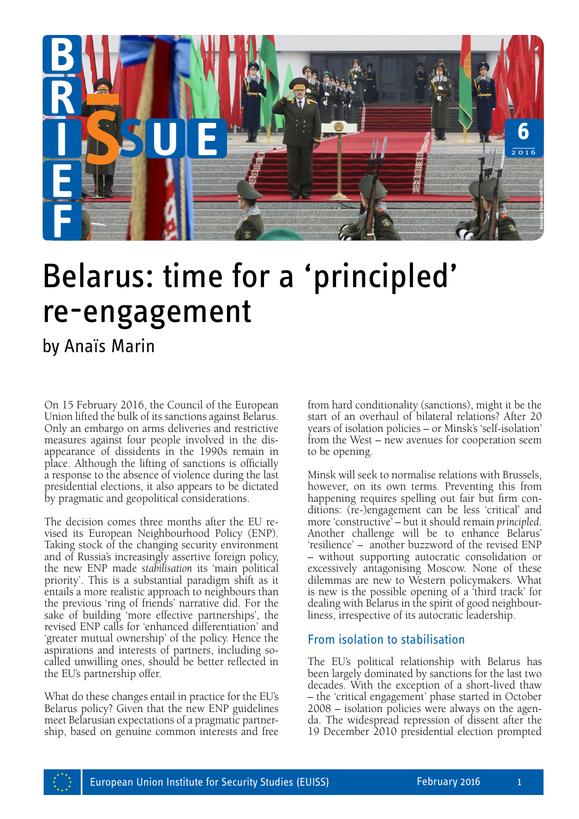

# Belarus: time for a 'principled' re-engagement

## by Anaïs Marin

On 15 February 2016, the Council of the European Union lifted the bulk of its sanctions against Belarus. Only an embargo on arms deliveries and restrictive measures against four people involved in the disappearance of dissidents in the 1990s remain in place. Although the lifting of sanctions is officially a response to the absence of violence during the last presidential elections, it also appears to be dictated by pragmatic and geopolitical considerations.

The decision comes three months after the EU revised its European Neighbourhood Policy (ENP). Taking stock of the changing security environment and of Russia's increasingly assertive foreign policy, the new ENP made *stabilisation* its 'main political priority'. This is a substantial paradigm shift as it entails a more realistic approach to neighbours than the previous 'ring of friends' narrative did. For the sake of building 'more effective partnerships', the revised ENP calls for 'enhanced differentiation' and 'greater mutual ownership' of the policy. Hence the aspirations and interests of partners, including socalled unwilling ones, should be better reflected in the EU's partnership offer.

What do these changes entail in practice for the EU's Belarus policy? Given that the new ENP guidelines meet Belarusian expectations of a pragmatic partnership, based on genuine common interests and free from hard conditionality (sanctions), might it be the start of an overhaul of bilateral relations? After 20 years of isolation policies – or Minsk's 'self-isolation' from the West – new avenues for cooperation seem to be opening.

Minsk will seek to normalise relations with Brussels, however, on its own terms. Preventing this from happening requires spelling out fair but firm conditions: (re-)engagement can be less 'critical' and more 'constructive' – but it should remain *principled*. Another challenge will be to enhance Belarus' 'resilience' – another buzzword of the revised ENP – without supporting autocratic consolidation or excessively antagonising Moscow. None of these dilemmas are new to Western policymakers. What is new is the possible opening of a 'third track' for dealing with Belarus in the spirit of good neighbourliness, irrespective of its autocratic leadership. **Example 19 December 2010 president**<br> **19 December 2010 president considers and the start of an overhaul of bilateral relations? After 20<br>
years of isolation policies – or Minsk s'self-isolation'<br>
to be opening.<br>
Minsk wil** 

### From isolation to stabilisation

The EU's political relationship with Belarus has been largely dominated by sanctions for the last two decades. With the exception of a short-lived thaw – the 'critical engagement' phase started in October 2008 – isolation policies were always on the agenda. The widespread repression of dissent after the

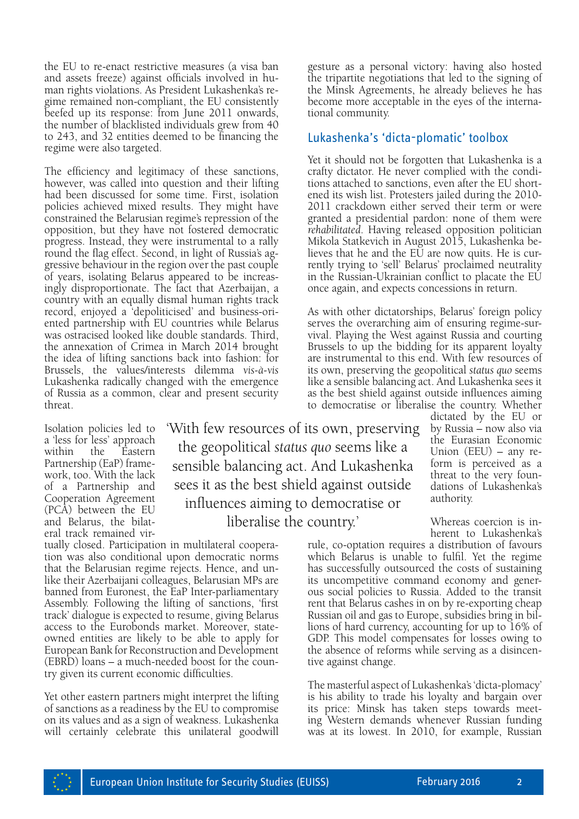the EU to re-enact restrictive measures (a visa ban and assets freeze) against officials involved in human rights violations. As President Lukashenka's regime remained non-compliant, the EU consistently beefed up its response: from June 2011 onwards, the number of blacklisted individuals grew from 40 to 243, and 32 entities deemed to be financing the regime were also targeted.

The efficiency and legitimacy of these sanctions, however, was called into question and their lifting had been discussed for some time. First, isolation policies achieved mixed results. They might have constrained the Belarusian regime's repression of the opposition, but they have not fostered democratic progress. Instead, they were instrumental to a rally round the flag effect. Second, in light of Russia's aggressive behaviour in the region over the past couple of years, isolating Belarus appeared to be increasingly disproportionate. The fact that Azerbaijan, a country with an equally dismal human rights track record, enjoyed a 'depoliticised' and business-oriented partnership with EU countries while Belarus was ostracised looked like double standards. Third, the annexation of Crimea in March 2014 brought the idea of lifting sanctions back into fashion: for Brussels, the values/interests dilemma *vis-à-vis*  Lukashenka radically changed with the emergence of Russia as a common, clear and present security threat.

Isolation policies led to a 'less for less' approach within the Eastern Partnership (EaP) framework, too. With the lack of a Partnership and Cooperation Agreement (PCA) between the EU and Belarus, the bilateral track remained vir'With few resources of its own, preserving the geopolitical *status quo* seems like a sensible balancing act. And Lukashenka sees it as the best shield against outside influences aiming to democratise or liberalise the country.'

tually closed. Participation in multilateral cooperation was also conditional upon democratic norms that the Belarusian regime rejects. Hence, and unlike their Azerbaijani colleagues, Belarusian MPs are banned from Euronest, the EaP Inter-parliamentary Assembly. Following the lifting of sanctions, 'first track' dialogue is expected to resume, giving Belarus access to the Eurobonds market. Moreover, stateowned entities are likely to be able to apply for European Bank for Reconstruction and Development (EBRD) loans – a much-needed boost for the country given its current economic difficulties.

Yet other eastern partners might interpret the lifting of sanctions as a readiness by the EU to compromise on its values and as a sign of weakness. Lukashenka will certainly celebrate this unilateral goodwill

gesture as a personal victory: having also hosted the tripartite negotiations that led to the signing of the Minsk Agreements, he already believes he has become more acceptable in the eyes of the international community.

#### Lukashenka's 'dicta-plomatic' toolbox

Yet it should not be forgotten that Lukashenka is a crafty dictator. He never complied with the conditions attached to sanctions, even after the EU shortened its wish list. Protesters jailed during the 2010- 2011 crackdown either served their term or were granted a presidential pardon: none of them were *rehabilitated*. Having released opposition politician Mikola Statkevich in August 2015, Lukashenka believes that he and the EU are now quits. He is currently trying to 'sell' Belarus' proclaimed neutrality in the Russian-Ukrainian conflict to placate the EU once again, and expects concessions in return.

As with other dictatorships, Belarus' foreign policy serves the overarching aim of ensuring regime-survival. Playing the West against Russia and courting Brussels to up the bidding for its apparent loyalty are instrumental to this end. With few resources of its own, preserving the geopolitical *status quo* seems like a sensible balancing act. And Lukashenka sees it as the best shield against outside influences aiming to democratise or liberalise the country. Whether

> dictated by the EU or by Russia – now also via the Eurasian Economic Union (EEU) – any reform is perceived as a threat to the very foundations of Lukashenka's authority.

Whereas coercion is inherent to Lukashenka's

rule, co-optation requires a distribution of favours which Belarus is unable to fulfil. Yet the regime has successfully outsourced the costs of sustaining its uncompetitive command economy and generous social policies to Russia. Added to the transit rent that Belarus cashes in on by re-exporting cheap Russian oil and gas to Europe, subsidies bring in billions of hard currency, accounting for up to 16% of GDP. This model compensates for losses owing to the absence of reforms while serving as a disincentive against change.

The masterful aspect of Lukashenka's 'dicta-plomacy' is his ability to trade his loyalty and bargain over its price: Minsk has taken steps towards meeting Western demands whenever Russian funding was at its lowest. In 2010, for example, Russian

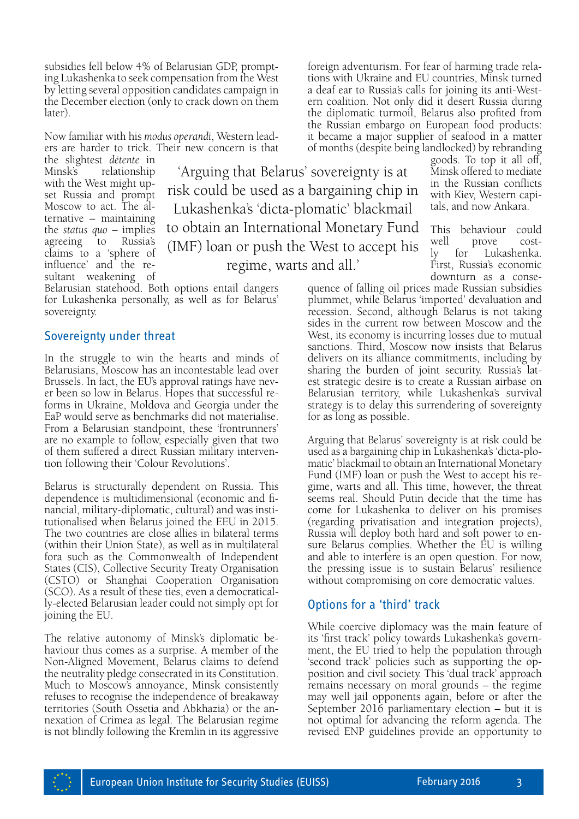subsidies fell below 4% of Belarusian GDP, prompting Lukashenka to seek compensation from the West by letting several opposition candidates campaign in the December election (only to crack down on them later).

Now familiar with his *modus operandi*, Western leaders are harder to trick. Their new concern is that

the slightest *détente* in Minsk's relationship with the West might upset Russia and prompt Moscow to act. The alternative – maintaining the *status quo* – implies agreeing to Russia's claims to a 'sphere of influence' and the resultant weakening of

'Arguing that Belarus' sovereignty is at risk could be used as a bargaining chip in Lukashenka's 'dicta-plomatic' blackmail to obtain an International Monetary Fund (IMF) loan or push the West to accept his regime, warts and all.'

Belarusian statehood. Both options entail dangers for Lukashenka personally, as well as for Belarus' sovereignty.

#### Sovereignty under threat

In the struggle to win the hearts and minds of Belarusians, Moscow has an incontestable lead over Brussels. In fact, the EU's approval ratings have never been so low in Belarus. Hopes that successful reforms in Ukraine, Moldova and Georgia under the EaP would serve as benchmarks did not materialise. From a Belarusian standpoint, these 'frontrunners' are no example to follow, especially given that two of them suffered a direct Russian military intervention following their 'Colour Revolutions'.

Belarus is structurally dependent on Russia. This dependence is multidimensional (economic and financial, military-diplomatic, cultural) and was institutionalised when Belarus joined the EEU in 2015. The two countries are close allies in bilateral terms (within their Union State), as well as in multilateral fora such as the Commonwealth of Independent States (CIS), Collective Security Treaty Organisation (CSTO) or Shanghai Cooperation Organisation (SCO). As a result of these ties, even a democratically-elected Belarusian leader could not simply opt for joining the EU.

The relative autonomy of Minsk's diplomatic behaviour thus comes as a surprise. A member of the Non-Aligned Movement, Belarus claims to defend the neutrality pledge consecrated in its Constitution. Much to Moscow's annoyance, Minsk consistently refuses to recognise the independence of breakaway territories (South Ossetia and Abkhazia) or the annexation of Crimea as legal. The Belarusian regime is not blindly following the Kremlin in its aggressive foreign adventurism. For fear of harming trade relations with Ukraine and EU countries, Minsk turned a deaf ear to Russia's calls for joining its anti-Western coalition. Not only did it desert Russia during the diplomatic turmoil, Belarus also profited from the Russian embargo on European food products: it became a major supplier of seafood in a matter of months (despite being landlocked) by rebranding

goods. To top it all off, Minsk offered to mediate in the Russian conflicts with Kiev, Western capitals, and now Ankara.

This behaviour could well prove costly for Lukashenka. First, Russia's economic downturn as a conse-

quence of falling oil prices made Russian subsidies plummet, while Belarus 'imported' devaluation and recession. Second, although Belarus is not taking sides in the current row between Moscow and the West, its economy is incurring losses due to mutual sanctions. Third, Moscow now insists that Belarus delivers on its alliance commitments, including by sharing the burden of joint security. Russia's latest strategic desire is to create a Russian airbase on Belarusian territory, while Lukashenka's survival strategy is to delay this surrendering of sovereignty for as long as possible.

Arguing that Belarus' sovereignty is at risk could be used as a bargaining chip in Lukashenka's 'dicta-plomatic' blackmail to obtain an International Monetary Fund (IMF) loan or push the West to accept his regime, warts and all. This time, however, the threat seems real. Should Putin decide that the time has come for Lukashenka to deliver on his promises (regarding privatisation and integration projects), Russia will deploy both hard and soft power to ensure Belarus complies. Whether the EU is willing and able to interfere is an open question. For now, the pressing issue is to sustain Belarus' resilience without compromising on core democratic values.

#### Options for a 'third' track

While coercive diplomacy was the main feature of its 'first track' policy towards Lukashenka's government, the EU tried to help the population through 'second track' policies such as supporting the opposition and civil society. This 'dual track' approach remains necessary on moral grounds – the regime may well jail opponents again, before or after the September 2016 parliamentary election – but it is not optimal for advancing the reform agenda. The revised ENP guidelines provide an opportunity to